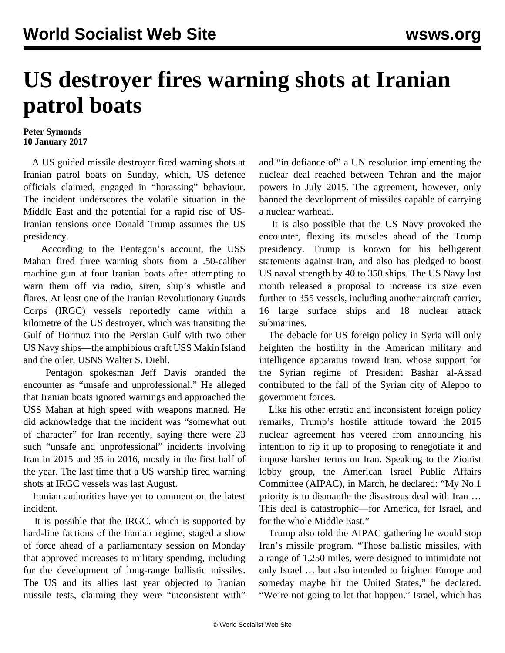## **US destroyer fires warning shots at Iranian patrol boats**

## **Peter Symonds 10 January 2017**

 A US guided missile destroyer fired warning shots at Iranian patrol boats on Sunday, which, US defence officials claimed, engaged in "harassing" behaviour. The incident underscores the volatile situation in the Middle East and the potential for a rapid rise of US-Iranian tensions once Donald Trump assumes the US presidency.

 According to the Pentagon's account, the USS Mahan fired three warning shots from a .50-caliber machine gun at four Iranian boats after attempting to warn them off via radio, siren, ship's whistle and flares. At least one of the Iranian Revolutionary Guards Corps (IRGC) vessels reportedly came within a kilometre of the US destroyer, which was transiting the Gulf of Hormuz into the Persian Gulf with two other US Navy ships—the amphibious craft USS Makin Island and the oiler, USNS Walter S. Diehl.

 Pentagon spokesman Jeff Davis branded the encounter as "unsafe and unprofessional." He alleged that Iranian boats ignored warnings and approached the USS Mahan at high speed with weapons manned. He did acknowledge that the incident was "somewhat out of character" for Iran recently, saying there were 23 such "unsafe and unprofessional" incidents involving Iran in 2015 and 35 in 2016, mostly in the first half of the year. The last time that a US warship fired warning shots at IRGC vessels was last August.

 Iranian authorities have yet to comment on the latest incident.

 It is possible that the IRGC, which is supported by hard-line factions of the Iranian regime, staged a show of force ahead of a parliamentary session on Monday that approved increases to military spending, including for the development of long-range ballistic missiles. The US and its allies last year objected to Iranian missile tests, claiming they were "inconsistent with"

and "in defiance of" a UN resolution implementing the nuclear deal reached between Tehran and the major powers in July 2015. The agreement, however, only banned the development of missiles capable of carrying a nuclear warhead.

 It is also possible that the US Navy provoked the encounter, flexing its muscles ahead of the Trump presidency. Trump is known for his belligerent statements against Iran, and also has pledged to boost US naval strength by 40 to 350 ships. The US Navy last month released a proposal to increase its size even further to 355 vessels, including another aircraft carrier, 16 large surface ships and 18 nuclear attack submarines.

 The debacle for US foreign policy in Syria will only heighten the hostility in the American military and intelligence apparatus toward Iran, whose support for the Syrian regime of President Bashar al-Assad contributed to the fall of the Syrian city of Aleppo to government forces.

 Like his other erratic and inconsistent foreign policy remarks, Trump's hostile attitude toward the 2015 nuclear agreement has veered from announcing his intention to rip it up to proposing to renegotiate it and impose harsher terms on Iran. Speaking to the Zionist lobby group, the American Israel Public Affairs Committee (AIPAC), in March, he declared: "My No.1 priority is to dismantle the disastrous deal with Iran … This deal is catastrophic—for America, for Israel, and for the whole Middle East."

 Trump also told the AIPAC gathering he would stop Iran's missile program. "Those ballistic missiles, with a range of 1,250 miles, were designed to intimidate not only Israel … but also intended to frighten Europe and someday maybe hit the United States," he declared. "We're not going to let that happen." Israel, which has